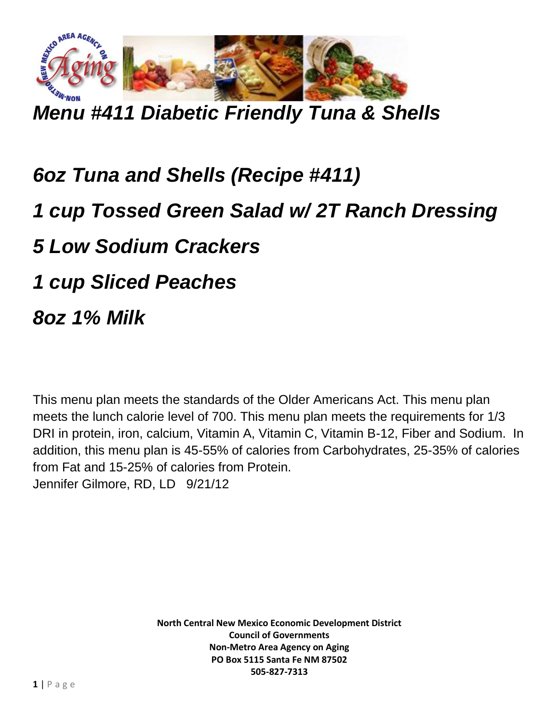

*Menu #411 Diabetic Friendly Tuna & Shells*

## *6oz Tuna and Shells (Recipe #411) 1 cup Tossed Green Salad w/ 2T Ranch Dressing 5 Low Sodium Crackers 1 cup Sliced Peaches 8oz 1% Milk*

This menu plan meets the standards of the Older Americans Act. This menu plan meets the lunch calorie level of 700. This menu plan meets the requirements for 1/3 DRI in protein, iron, calcium, Vitamin A, Vitamin C, Vitamin B-12, Fiber and Sodium. In addition, this menu plan is 45-55% of calories from Carbohydrates, 25-35% of calories from Fat and 15-25% of calories from Protein. Jennifer Gilmore, RD, LD 9/21/12

> **North Central New Mexico Economic Development District Council of Governments Non-Metro Area Agency on Aging PO Box 5115 Santa Fe NM 87502 505-827-7313**